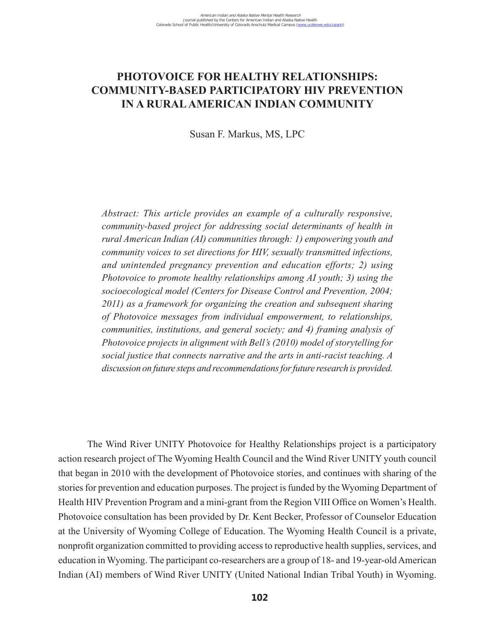# **PHOTOVOICE FOR HEALTHY RELATIONSHIPS: COMMUNITY-BASED PARTICIPATORY HIV PREVENTION IN A RURAL AMERICAN INDIAN COMMUNITY**

Susan F. Markus, MS, LPC

*Abstract: This article provides an example of a culturally responsive, community-based project for addressing social determinants of health in rural American Indian (AI) communities through: 1) empowering youth and community voices to set directions for HIV, sexually transmitted infections, and unintended pregnancy prevention and education efforts; 2) using Photovoice to promote healthy relationships among AI youth; 3) using the socioecological model (Centers for Disease Control and Prevention, 2004; 2011) as a framework for organizing the creation and subsequent sharing of Photovoice messages from individual empowerment, to relationships, communities, institutions, and general society; and 4) framing analysis of Photovoice projects in alignment with Bell's (2010) model of storytelling for social justice that connects narrative and the arts in anti-racist teaching. A discussion on future steps and recommendations for future research is provided.* 

The Wind River UNITY Photovoice for Healthy Relationships project is a participatory action research project of The Wyoming Health Council and the Wind River UNITY youth council that began in 2010 with the development of Photovoice stories, and continues with sharing of the stories for prevention and education purposes. The project is funded by the Wyoming Department of Health HIV Prevention Program and a mini-grant from the Region VIII Office on Women's Health. Photovoice consultation has been provided by Dr. Kent Becker, Professor of Counselor Education at the University of Wyoming College of Education. The Wyoming Health Council is a private, nonprofit organization committed to providing access to reproductive health supplies, services, and education in Wyoming. The participant co-researchers are a group of 18- and 19-year-old American Indian (AI) members of Wind River UNITY (United National Indian Tribal Youth) in Wyoming.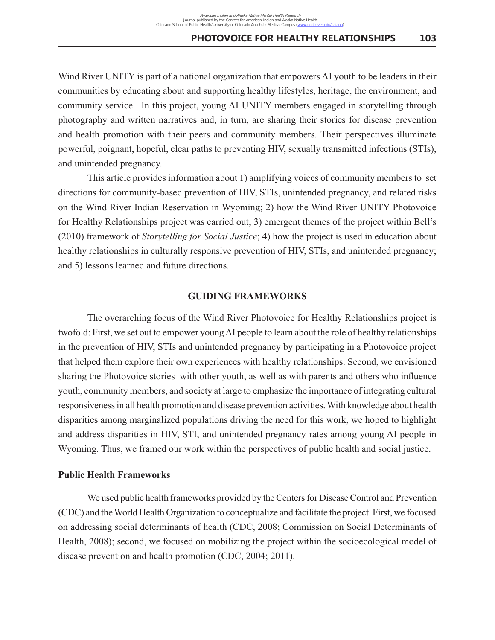Wind River UNITY is part of a national organization that empowers AI youth to be leaders in their communities by educating about and supporting healthy lifestyles, heritage, the environment, and community service. In this project, young AI UNITY members engaged in storytelling through photography and written narratives and, in turn, are sharing their stories for disease prevention and health promotion with their peers and community members. Their perspectives illuminate powerful, poignant, hopeful, clear paths to preventing HIV, sexually transmitted infections (STIs), and unintended pregnancy.

This article provides information about 1) amplifying voices of community members to set directions for community-based prevention of HIV, STIs, unintended pregnancy, and related risks on the Wind River Indian Reservation in Wyoming; 2) how the Wind River UNITY Photovoice for Healthy Relationships project was carried out; 3) emergent themes of the project within Bell's (2010) framework of *Storytelling for Social Justice*; 4) how the project is used in education about healthy relationships in culturally responsive prevention of HIV, STIs, and unintended pregnancy; and 5) lessons learned and future directions.

### **GUIDING FRAMEWORKS**

The overarching focus of the Wind River Photovoice for Healthy Relationships project is twofold: First, we set out to empower young AI people to learn about the role of healthy relationships in the prevention of HIV, STIs and unintended pregnancy by participating in a Photovoice project that helped them explore their own experiences with healthy relationships. Second, we envisioned sharing the Photovoice stories with other youth, as well as with parents and others who influence youth, community members, and society at large to emphasize the importance of integrating cultural responsiveness in all health promotion and disease prevention activities. With knowledge about health disparities among marginalized populations driving the need for this work, we hoped to highlight and address disparities in HIV, STI, and unintended pregnancy rates among young AI people in Wyoming. Thus, we framed our work within the perspectives of public health and social justice.

### **Public Health Frameworks**

We used public health frameworks provided by the Centers for Disease Control and Prevention (CDC) and the World Health Organization to conceptualize and facilitate the project. First, we focused on addressing social determinants of health (CDC, 2008; Commission on Social Determinants of Health, 2008); second, we focused on mobilizing the project within the socioecological model of disease prevention and health promotion (CDC, 2004; 2011).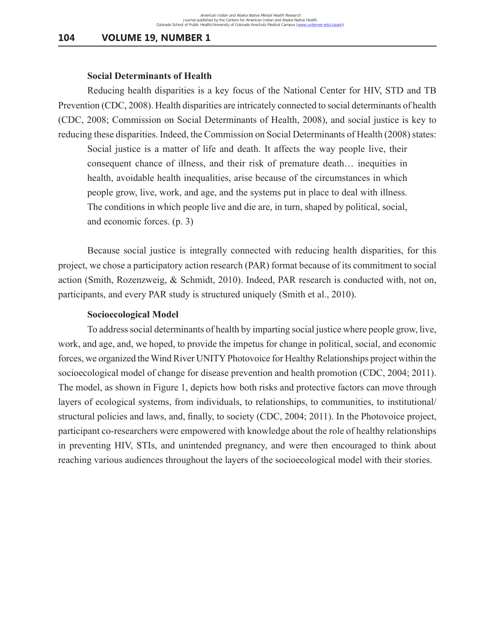#### **Social Determinants of Health**

Reducing health disparities is a key focus of the National Center for HIV, STD and TB Prevention (CDC, 2008). Health disparities are intricately connected to social determinants of health (CDC, 2008; Commission on Social Determinants of Health, 2008), and social justice is key to reducing these disparities. Indeed, the Commission on Social Determinants of Health (2008) states:

Social justice is a matter of life and death. It affects the way people live, their consequent chance of illness, and their risk of premature death… inequities in health, avoidable health inequalities, arise because of the circumstances in which people grow, live, work, and age, and the systems put in place to deal with illness. The conditions in which people live and die are, in turn, shaped by political, social, and economic forces. (p. 3)

Because social justice is integrally connected with reducing health disparities, for this project, we chose a participatory action research (PAR) format because of its commitment to social action (Smith, Rozenzweig, & Schmidt, 2010). Indeed, PAR research is conducted with, not on, participants, and every PAR study is structured uniquely (Smith et al., 2010).

#### **Socioecological Model**

To address social determinants of health by imparting social justice where people grow, live, work, and age, and, we hoped, to provide the impetus for change in political, social, and economic forces, we organized the Wind River UNITY Photovoice for Healthy Relationships project within the socioecological model of change for disease prevention and health promotion (CDC, 2004; 2011). The model, as shown in Figure 1, depicts how both risks and protective factors can move through layers of ecological systems, from individuals, to relationships, to communities, to institutional/ structural policies and laws, and, finally, to society (CDC, 2004; 2011). In the Photovoice project, participant co-researchers were empowered with knowledge about the role of healthy relationships in preventing HIV, STIs, and unintended pregnancy, and were then encouraged to think about reaching various audiences throughout the layers of the socioecological model with their stories.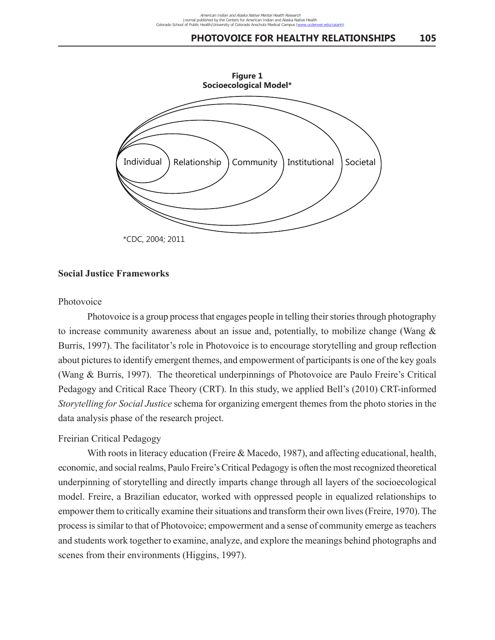

### **Social Justice Frameworks**

### Photovoice

Photovoice is a group process that engages people in telling their stories through photography to increase community awareness about an issue and, potentially, to mobilize change (Wang & Burris, 1997). The facilitator's role in Photovoice is to encourage storytelling and group reflection about pictures to identify emergent themes, and empowerment of participants is one of the key goals (Wang & Burris, 1997). The theoretical underpinnings of Photovoice are Paulo Freire's Critical Pedagogy and Critical Race Theory (CRT). In this study, we applied Bell's (2010) CRT-informed *Storytelling for Social Justice* schema for organizing emergent themes from the photo stories in the data analysis phase of the research project.

### Freirian Critical Pedagogy

With roots in literacy education (Freire & Macedo, 1987), and affecting educational, health, economic, and social realms, Paulo Freire's Critical Pedagogy is often the most recognized theoretical underpinning of storytelling and directly imparts change through all layers of the socioecological model. Freire, a Brazilian educator, worked with oppressed people in equalized relationships to empower them to critically examine their situations and transform their own lives (Freire, 1970). The process is similar to that of Photovoice; empowerment and a sense of community emerge as teachers and students work together to examine, analyze, and explore the meanings behind photographs and scenes from their environments (Higgins, 1997).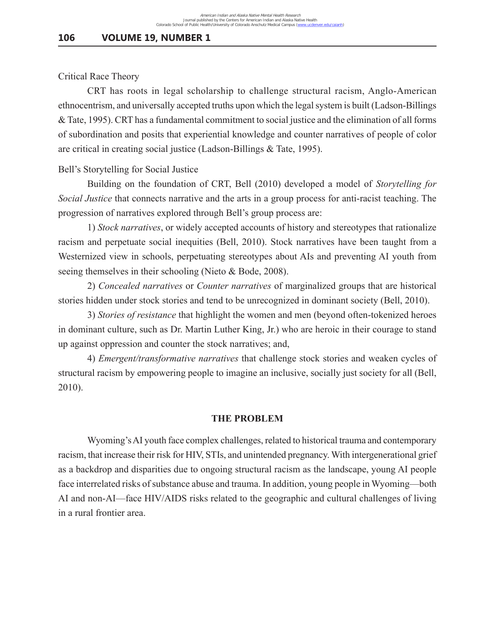### Critical Race Theory

CRT has roots in legal scholarship to challenge structural racism, Anglo-American ethnocentrism, and universally accepted truths upon which the legal system is built (Ladson-Billings & Tate, 1995). CRT has a fundamental commitment to social justice and the elimination of all forms of subordination and posits that experiential knowledge and counter narratives of people of color are critical in creating social justice (Ladson-Billings & Tate, 1995).

### Bell's Storytelling for Social Justice

Building on the foundation of CRT, Bell (2010) developed a model of *Storytelling for Social Justice* that connects narrative and the arts in a group process for anti-racist teaching. The progression of narratives explored through Bell's group process are:

1) *Stock narratives*, or widely accepted accounts of history and stereotypes that rationalize racism and perpetuate social inequities (Bell, 2010). Stock narratives have been taught from a Westernized view in schools, perpetuating stereotypes about AIs and preventing AI youth from seeing themselves in their schooling (Nieto & Bode, 2008).

2) *Concealed narratives* or *Counter narratives* of marginalized groups that are historical stories hidden under stock stories and tend to be unrecognized in dominant society (Bell, 2010).

3) *Stories of resistance* that highlight the women and men (beyond often-tokenized heroes in dominant culture, such as Dr. Martin Luther King, Jr.) who are heroic in their courage to stand up against oppression and counter the stock narratives; and,

4) *Emergent/transformative narratives* that challenge stock stories and weaken cycles of structural racism by empowering people to imagine an inclusive, socially just society for all (Bell, 2010).

#### **THE PROBLEM**

Wyoming's AI youth face complex challenges, related to historical trauma and contemporary racism, that increase their risk for HIV, STIs, and unintended pregnancy. With intergenerational grief as a backdrop and disparities due to ongoing structural racism as the landscape, young AI people face interrelated risks of substance abuse and trauma. In addition, young people in Wyoming––both AI and non-AI––face HIV/AIDS risks related to the geographic and cultural challenges of living in a rural frontier area.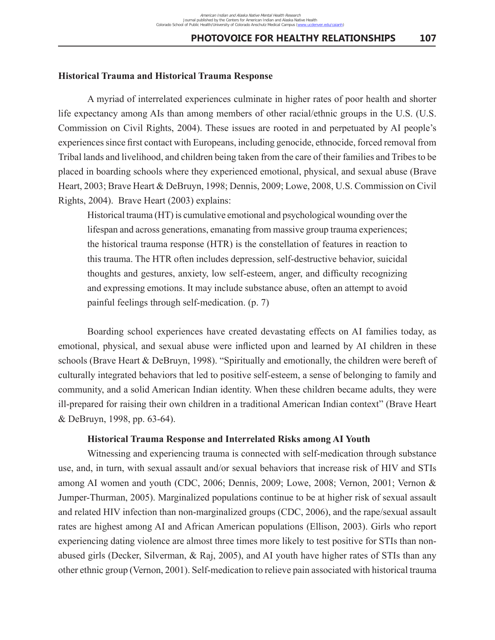### **Historical Trauma and Historical Trauma Response**

A myriad of interrelated experiences culminate in higher rates of poor health and shorter life expectancy among AIs than among members of other racial/ethnic groups in the U.S. (U.S. Commission on Civil Rights, 2004). These issues are rooted in and perpetuated by AI people's experiences since first contact with Europeans, including genocide, ethnocide, forced removal from Tribal lands and livelihood, and children being taken from the care of their families and Tribes to be placed in boarding schools where they experienced emotional, physical, and sexual abuse (Brave Heart, 2003; Brave Heart & DeBruyn, 1998; Dennis, 2009; Lowe, 2008, U.S. Commission on Civil Rights, 2004). Brave Heart (2003) explains:

Historical trauma (HT) is cumulative emotional and psychological wounding over the lifespan and across generations, emanating from massive group trauma experiences; the historical trauma response (HTR) is the constellation of features in reaction to this trauma. The HTR often includes depression, self-destructive behavior, suicidal thoughts and gestures, anxiety, low self-esteem, anger, and difficulty recognizing and expressing emotions. It may include substance abuse, often an attempt to avoid painful feelings through self-medication. (p. 7)

Boarding school experiences have created devastating effects on AI families today, as emotional, physical, and sexual abuse were inflicted upon and learned by AI children in these schools (Brave Heart & DeBruyn, 1998). "Spiritually and emotionally, the children were bereft of culturally integrated behaviors that led to positive self-esteem, a sense of belonging to family and community, and a solid American Indian identity. When these children became adults, they were ill-prepared for raising their own children in a traditional American Indian context" (Brave Heart & DeBruyn, 1998, pp. 63-64).

### **Historical Trauma Response and Interrelated Risks among AI Youth**

Witnessing and experiencing trauma is connected with self-medication through substance use, and, in turn, with sexual assault and/or sexual behaviors that increase risk of HIV and STIs among AI women and youth (CDC, 2006; Dennis, 2009; Lowe, 2008; Vernon, 2001; Vernon & Jumper-Thurman, 2005). Marginalized populations continue to be at higher risk of sexual assault and related HIV infection than non-marginalized groups (CDC, 2006), and the rape/sexual assault rates are highest among AI and African American populations (Ellison, 2003). Girls who report experiencing dating violence are almost three times more likely to test positive for STIs than nonabused girls (Decker, Silverman, & Raj, 2005), and AI youth have higher rates of STIs than any other ethnic group (Vernon, 2001). Self-medication to relieve pain associated with historical trauma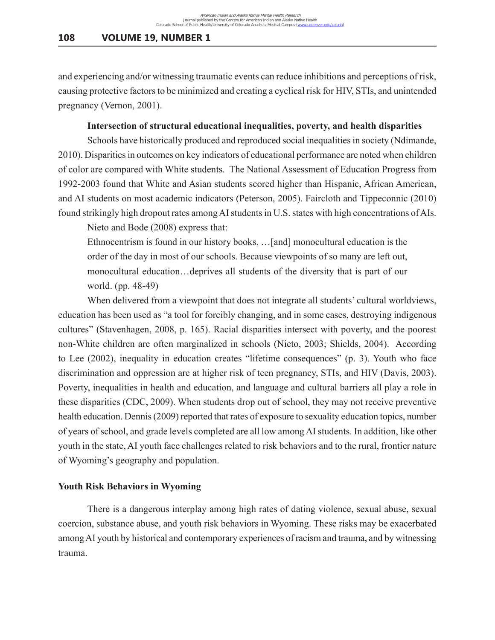and experiencing and/or witnessing traumatic events can reduce inhibitions and perceptions of risk, causing protective factors to be minimized and creating a cyclical risk for HIV, STIs, and unintended pregnancy (Vernon, 2001).

### **Intersection of structural educational inequalities, poverty, and health disparities**

Schools have historically produced and reproduced social inequalities in society (Ndimande, 2010). Disparities in outcomes on key indicators of educational performance are noted when children of color are compared with White students. The National Assessment of Education Progress from 1992-2003 found that White and Asian students scored higher than Hispanic, African American, and AI students on most academic indicators (Peterson, 2005). Faircloth and Tippeconnic (2010) found strikingly high dropout rates among AI students in U.S. states with high concentrations of AIs.

Nieto and Bode (2008) express that:

Ethnocentrism is found in our history books, …[and] monocultural education is the order of the day in most of our schools. Because viewpoints of so many are left out, monocultural education…deprives all students of the diversity that is part of our world. (pp. 48-49)

When delivered from a viewpoint that does not integrate all students' cultural worldviews, education has been used as "a tool for forcibly changing, and in some cases, destroying indigenous cultures" (Stavenhagen, 2008, p. 165). Racial disparities intersect with poverty, and the poorest non-White children are often marginalized in schools (Nieto, 2003; Shields, 2004). According to Lee (2002), inequality in education creates "lifetime consequences" (p. 3). Youth who face discrimination and oppression are at higher risk of teen pregnancy, STIs, and HIV (Davis, 2003). Poverty, inequalities in health and education, and language and cultural barriers all play a role in these disparities (CDC, 2009). When students drop out of school, they may not receive preventive health education. Dennis (2009) reported that rates of exposure to sexuality education topics, number of years of school, and grade levels completed are all low among AI students. In addition, like other youth in the state, AI youth face challenges related to risk behaviors and to the rural, frontier nature of Wyoming's geography and population.

#### **Youth Risk Behaviors in Wyoming**

There is a dangerous interplay among high rates of dating violence, sexual abuse, sexual coercion, substance abuse, and youth risk behaviors in Wyoming. These risks may be exacerbated among AI youth by historical and contemporary experiences of racism and trauma, and by witnessing trauma.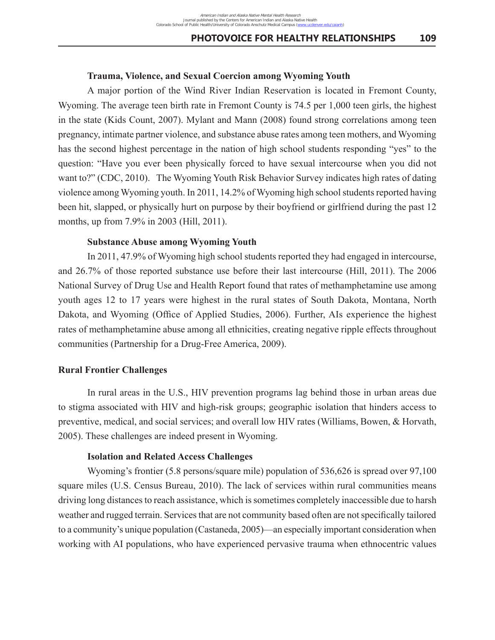### **Trauma, Violence, and Sexual Coercion among Wyoming Youth**

A major portion of the Wind River Indian Reservation is located in Fremont County, Wyoming. The average teen birth rate in Fremont County is 74.5 per 1,000 teen girls, the highest in the state (Kids Count, 2007). Mylant and Mann (2008) found strong correlations among teen pregnancy, intimate partner violence, and substance abuse rates among teen mothers, and Wyoming has the second highest percentage in the nation of high school students responding "yes" to the question: "Have you ever been physically forced to have sexual intercourse when you did not want to?" (CDC, 2010). The Wyoming Youth Risk Behavior Survey indicates high rates of dating violence among Wyoming youth. In 2011, 14.2% of Wyoming high school students reported having been hit, slapped, or physically hurt on purpose by their boyfriend or girlfriend during the past 12 months, up from 7.9% in 2003 (Hill, 2011).

### **Substance Abuse among Wyoming Youth**

In 2011, 47.9% of Wyoming high school students reported they had engaged in intercourse, and 26.7% of those reported substance use before their last intercourse (Hill, 2011). The 2006 National Survey of Drug Use and Health Report found that rates of methamphetamine use among youth ages 12 to 17 years were highest in the rural states of South Dakota, Montana, North Dakota, and Wyoming (Office of Applied Studies, 2006). Further, AIs experience the highest rates of methamphetamine abuse among all ethnicities, creating negative ripple effects throughout communities (Partnership for a Drug-Free America, 2009).

## **Rural Frontier Challenges**

In rural areas in the U.S., HIV prevention programs lag behind those in urban areas due to stigma associated with HIV and high-risk groups; geographic isolation that hinders access to preventive, medical, and social services; and overall low HIV rates (Williams, Bowen, & Horvath, 2005). These challenges are indeed present in Wyoming.

#### **Isolation and Related Access Challenges**

Wyoming's frontier (5.8 persons/square mile) population of 536,626 is spread over 97,100 square miles (U.S. Census Bureau, 2010). The lack of services within rural communities means driving long distances to reach assistance, which is sometimes completely inaccessible due to harsh weather and rugged terrain. Services that are not community based often are not specifically tailored to a community's unique population (Castaneda, 2005)––an especially important consideration when working with AI populations, who have experienced pervasive trauma when ethnocentric values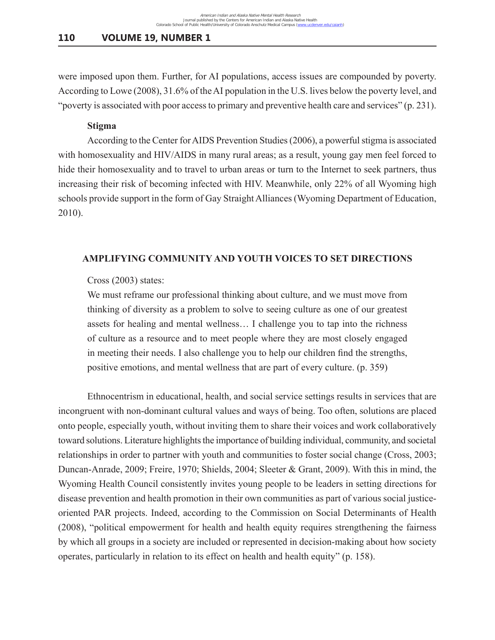were imposed upon them. Further, for AI populations, access issues are compounded by poverty. According to Lowe (2008), 31.6% of the AI population in the U.S. lives below the poverty level, and "poverty is associated with poor access to primary and preventive health care and services" (p. 231).

#### **Stigma**

According to the Center for AIDS Prevention Studies (2006), a powerful stigma is associated with homosexuality and HIV/AIDS in many rural areas; as a result, young gay men feel forced to hide their homosexuality and to travel to urban areas or turn to the Internet to seek partners, thus increasing their risk of becoming infected with HIV. Meanwhile, only 22% of all Wyoming high schools provide support in the form of Gay Straight Alliances (Wyoming Department of Education, 2010).

### **AMPLIFYING COMMUNITY AND YOUTH VOICES TO SET DIRECTIONS**

### Cross (2003) states:

We must reframe our professional thinking about culture, and we must move from thinking of diversity as a problem to solve to seeing culture as one of our greatest assets for healing and mental wellness… I challenge you to tap into the richness of culture as a resource and to meet people where they are most closely engaged in meeting their needs. I also challenge you to help our children find the strengths, positive emotions, and mental wellness that are part of every culture. (p. 359)

Ethnocentrism in educational, health, and social service settings results in services that are incongruent with non-dominant cultural values and ways of being. Too often, solutions are placed onto people, especially youth, without inviting them to share their voices and work collaboratively toward solutions. Literature highlights the importance of building individual, community, and societal relationships in order to partner with youth and communities to foster social change (Cross, 2003; Duncan-Anrade, 2009; Freire, 1970; Shields, 2004; Sleeter & Grant, 2009). With this in mind, the Wyoming Health Council consistently invites young people to be leaders in setting directions for disease prevention and health promotion in their own communities as part of various social justiceoriented PAR projects. Indeed, according to the Commission on Social Determinants of Health (2008), "political empowerment for health and health equity requires strengthening the fairness by which all groups in a society are included or represented in decision-making about how society operates, particularly in relation to its effect on health and health equity" (p. 158).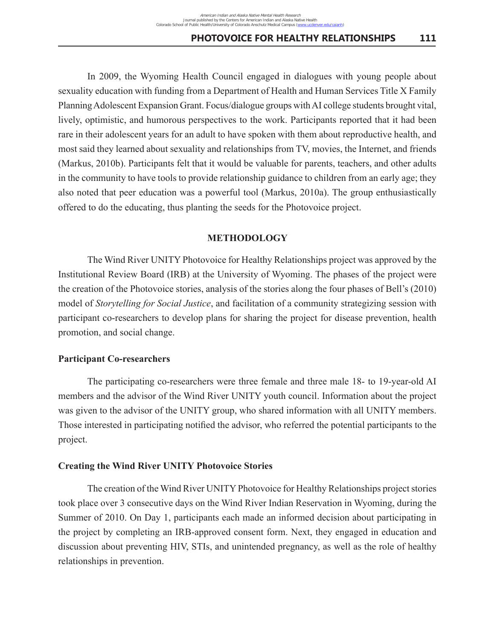In 2009, the Wyoming Health Council engaged in dialogues with young people about sexuality education with funding from a Department of Health and Human Services Title X Family Planning Adolescent Expansion Grant. Focus/dialogue groups with AI college students brought vital, lively, optimistic, and humorous perspectives to the work. Participants reported that it had been rare in their adolescent years for an adult to have spoken with them about reproductive health, and most said they learned about sexuality and relationships from TV, movies, the Internet, and friends (Markus, 2010b). Participants felt that it would be valuable for parents, teachers, and other adults in the community to have tools to provide relationship guidance to children from an early age; they also noted that peer education was a powerful tool (Markus, 2010a). The group enthusiastically offered to do the educating, thus planting the seeds for the Photovoice project.

### **METHODOLOGY**

The Wind River UNITY Photovoice for Healthy Relationships project was approved by the Institutional Review Board (IRB) at the University of Wyoming. The phases of the project were the creation of the Photovoice stories, analysis of the stories along the four phases of Bell's (2010) model of *Storytelling for Social Justice*, and facilitation of a community strategizing session with participant co-researchers to develop plans for sharing the project for disease prevention, health promotion, and social change.

#### **Participant Co-researchers**

The participating co-researchers were three female and three male 18- to 19-year-old AI members and the advisor of the Wind River UNITY youth council. Information about the project was given to the advisor of the UNITY group, who shared information with all UNITY members. Those interested in participating notified the advisor, who referred the potential participants to the project.

#### **Creating the Wind River UNITY Photovoice Stories**

The creation of the Wind River UNITY Photovoice for Healthy Relationships project stories took place over 3 consecutive days on the Wind River Indian Reservation in Wyoming, during the Summer of 2010. On Day 1, participants each made an informed decision about participating in the project by completing an IRB-approved consent form. Next, they engaged in education and discussion about preventing HIV, STIs, and unintended pregnancy, as well as the role of healthy relationships in prevention.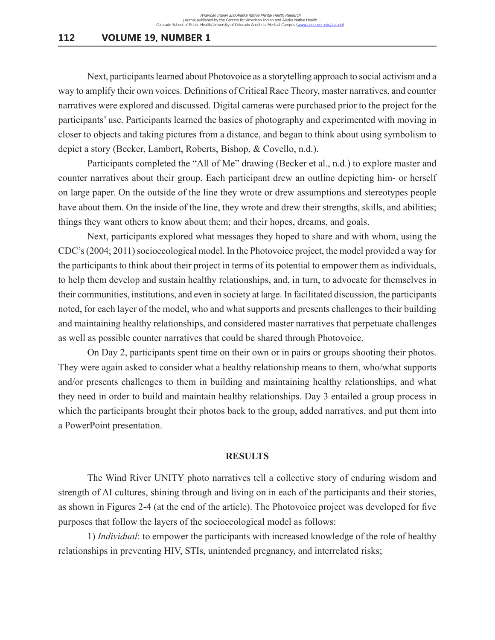Next, participants learned about Photovoice as a storytelling approach to social activism and a way to amplify their own voices. Definitions of Critical Race Theory, master narratives, and counter narratives were explored and discussed. Digital cameras were purchased prior to the project for the participants' use. Participants learned the basics of photography and experimented with moving in closer to objects and taking pictures from a distance, and began to think about using symbolism to depict a story (Becker, Lambert, Roberts, Bishop, & Covello, n.d.).

Participants completed the "All of Me" drawing (Becker et al., n.d.) to explore master and counter narratives about their group. Each participant drew an outline depicting him- or herself on large paper. On the outside of the line they wrote or drew assumptions and stereotypes people have about them. On the inside of the line, they wrote and drew their strengths, skills, and abilities; things they want others to know about them; and their hopes, dreams, and goals.

Next, participants explored what messages they hoped to share and with whom, using the CDC's (2004; 2011) socioecological model. In the Photovoice project, the model provided a way for the participants to think about their project in terms of its potential to empower them as individuals, to help them develop and sustain healthy relationships, and, in turn, to advocate for themselves in their communities, institutions, and even in society at large. In facilitated discussion, the participants noted, for each layer of the model, who and what supports and presents challenges to their building and maintaining healthy relationships, and considered master narratives that perpetuate challenges as well as possible counter narratives that could be shared through Photovoice.

On Day 2, participants spent time on their own or in pairs or groups shooting their photos. They were again asked to consider what a healthy relationship means to them, who/what supports and/or presents challenges to them in building and maintaining healthy relationships, and what they need in order to build and maintain healthy relationships. Day 3 entailed a group process in which the participants brought their photos back to the group, added narratives, and put them into a PowerPoint presentation.

#### **RESULTS**

The Wind River UNITY photo narratives tell a collective story of enduring wisdom and strength of AI cultures, shining through and living on in each of the participants and their stories, as shown in Figures 2-4 (at the end of the article). The Photovoice project was developed for five purposes that follow the layers of the socioecological model as follows:

1) *Individual*: to empower the participants with increased knowledge of the role of healthy relationships in preventing HIV, STIs, unintended pregnancy, and interrelated risks;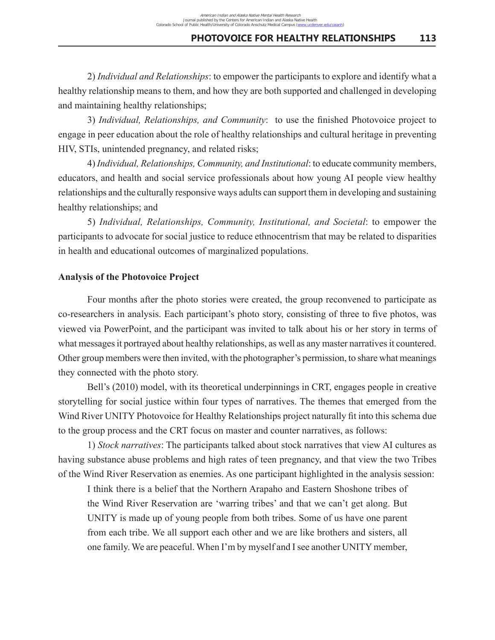2) *Individual and Relationships*: to empower the participants to explore and identify what a healthy relationship means to them, and how they are both supported and challenged in developing and maintaining healthy relationships;

3) *Individual, Relationships, and Community*: to use the finished Photovoice project to engage in peer education about the role of healthy relationships and cultural heritage in preventing HIV, STIs, unintended pregnancy, and related risks;

4) *Individual, Relationships, Community, and Institutional*: to educate community members, educators, and health and social service professionals about how young AI people view healthy relationships and the culturally responsive ways adults can support them in developing and sustaining healthy relationships; and

5) *Individual, Relationships, Community, Institutional, and Societal*: to empower the participants to advocate for social justice to reduce ethnocentrism that may be related to disparities in health and educational outcomes of marginalized populations.

### **Analysis of the Photovoice Project**

Four months after the photo stories were created, the group reconvened to participate as co-researchers in analysis. Each participant's photo story, consisting of three to five photos, was viewed via PowerPoint, and the participant was invited to talk about his or her story in terms of what messages it portrayed about healthy relationships, as well as any master narratives it countered. Other group members were then invited, with the photographer's permission, to share what meanings they connected with the photo story.

Bell's (2010) model, with its theoretical underpinnings in CRT, engages people in creative storytelling for social justice within four types of narratives. The themes that emerged from the Wind River UNITY Photovoice for Healthy Relationships project naturally fit into this schema due to the group process and the CRT focus on master and counter narratives, as follows:

1) *Stock narratives*: The participants talked about stock narratives that view AI cultures as having substance abuse problems and high rates of teen pregnancy, and that view the two Tribes of the Wind River Reservation as enemies. As one participant highlighted in the analysis session:

I think there is a belief that the Northern Arapaho and Eastern Shoshone tribes of the Wind River Reservation are 'warring tribes' and that we can't get along. But UNITY is made up of young people from both tribes. Some of us have one parent from each tribe. We all support each other and we are like brothers and sisters, all one family. We are peaceful. When I'm by myself and I see another UNITY member,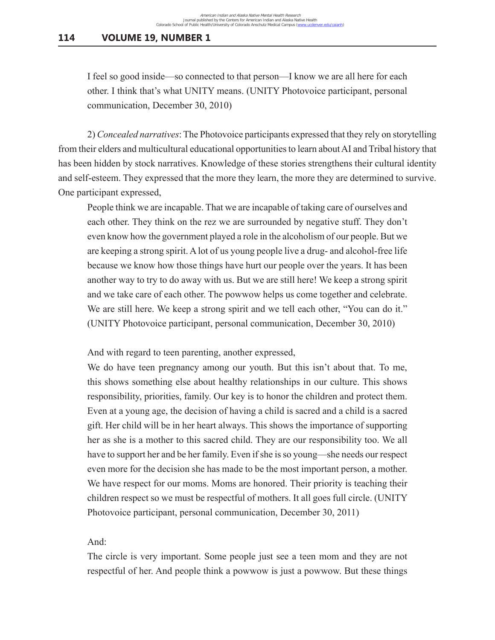I feel so good inside––so connected to that person––I know we are all here for each other. I think that's what UNITY means. (UNITY Photovoice participant, personal communication, December 30, 2010)

2) *Concealed narratives*: The Photovoice participants expressed that they rely on storytelling from their elders and multicultural educational opportunities to learn about AI and Tribal history that has been hidden by stock narratives. Knowledge of these stories strengthens their cultural identity and self-esteem. They expressed that the more they learn, the more they are determined to survive. One participant expressed,

People think we are incapable. That we are incapable of taking care of ourselves and each other. They think on the rez we are surrounded by negative stuff. They don't even know how the government played a role in the alcoholism of our people. But we are keeping a strong spirit. A lot of us young people live a drug- and alcohol-free life because we know how those things have hurt our people over the years. It has been another way to try to do away with us. But we are still here! We keep a strong spirit and we take care of each other. The powwow helps us come together and celebrate. We are still here. We keep a strong spirit and we tell each other, "You can do it." (UNITY Photovoice participant, personal communication, December 30, 2010)

And with regard to teen parenting, another expressed,

We do have teen pregnancy among our youth. But this isn't about that. To me, this shows something else about healthy relationships in our culture. This shows responsibility, priorities, family. Our key is to honor the children and protect them. Even at a young age, the decision of having a child is sacred and a child is a sacred gift. Her child will be in her heart always. This shows the importance of supporting her as she is a mother to this sacred child. They are our responsibility too. We all have to support her and be her family. Even if she is so young––she needs our respect even more for the decision she has made to be the most important person, a mother. We have respect for our moms. Moms are honored. Their priority is teaching their children respect so we must be respectful of mothers. It all goes full circle. (UNITY Photovoice participant, personal communication, December 30, 2011)

And:

The circle is very important. Some people just see a teen mom and they are not respectful of her. And people think a powwow is just a powwow. But these things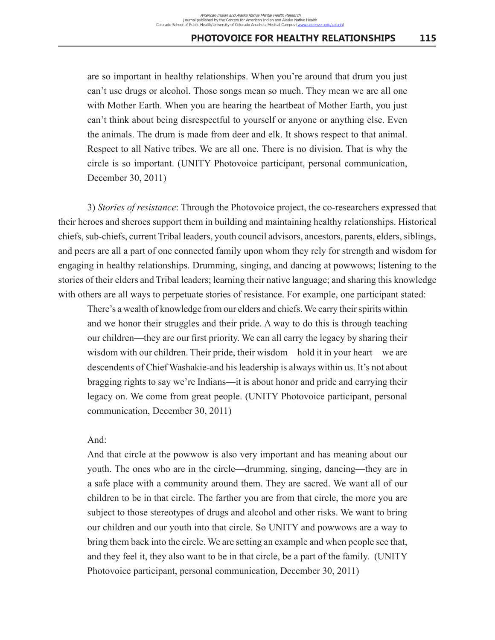are so important in healthy relationships. When you're around that drum you just can't use drugs or alcohol. Those songs mean so much. They mean we are all one with Mother Earth. When you are hearing the heartbeat of Mother Earth, you just can't think about being disrespectful to yourself or anyone or anything else. Even the animals. The drum is made from deer and elk. It shows respect to that animal. Respect to all Native tribes. We are all one. There is no division. That is why the circle is so important. (UNITY Photovoice participant, personal communication, December 30, 2011)

3) *Stories of resistance*: Through the Photovoice project, the co-researchers expressed that their heroes and sheroes support them in building and maintaining healthy relationships. Historical chiefs, sub-chiefs, current Tribal leaders, youth council advisors, ancestors, parents, elders, siblings, and peers are all a part of one connected family upon whom they rely for strength and wisdom for engaging in healthy relationships. Drumming, singing, and dancing at powwows; listening to the stories of their elders and Tribal leaders; learning their native language; and sharing this knowledge with others are all ways to perpetuate stories of resistance. For example, one participant stated:

There's a wealth of knowledge from our elders and chiefs. We carry their spirits within and we honor their struggles and their pride. A way to do this is through teaching our children––they are our first priority. We can all carry the legacy by sharing their wisdom with our children. Their pride, their wisdom—hold it in your heart—we are descendents of Chief Washakie-and his leadership is always within us. It's not about bragging rights to say we're Indians––it is about honor and pride and carrying their legacy on. We come from great people. (UNITY Photovoice participant, personal communication, December 30, 2011)

### And:

And that circle at the powwow is also very important and has meaning about our youth. The ones who are in the circle––drumming, singing, dancing––they are in a safe place with a community around them. They are sacred. We want all of our children to be in that circle. The farther you are from that circle, the more you are subject to those stereotypes of drugs and alcohol and other risks. We want to bring our children and our youth into that circle. So UNITY and powwows are a way to bring them back into the circle. We are setting an example and when people see that, and they feel it, they also want to be in that circle, be a part of the family. (UNITY Photovoice participant, personal communication, December 30, 2011)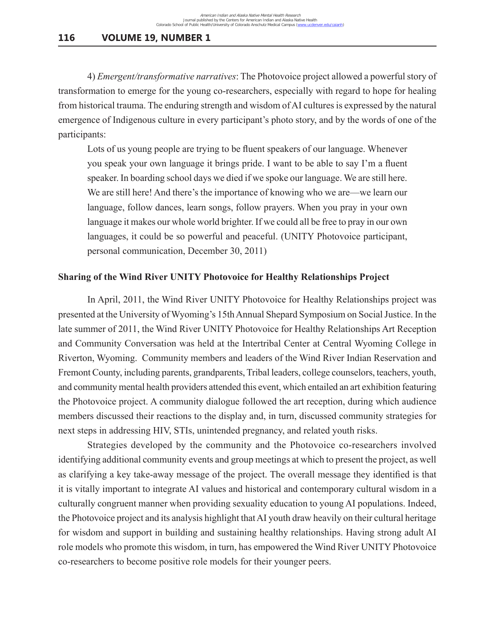4) *Emergent/transformative narratives*: The Photovoice project allowed a powerful story of transformation to emerge for the young co-researchers, especially with regard to hope for healing from historical trauma. The enduring strength and wisdom of AI cultures is expressed by the natural emergence of Indigenous culture in every participant's photo story, and by the words of one of the participants:

Lots of us young people are trying to be fluent speakers of our language. Whenever you speak your own language it brings pride. I want to be able to say I'm a fluent speaker. In boarding school days we died if we spoke our language. We are still here. We are still here! And there's the importance of knowing who we are—we learn our language, follow dances, learn songs, follow prayers. When you pray in your own language it makes our whole world brighter. If we could all be free to pray in our own languages, it could be so powerful and peaceful. (UNITY Photovoice participant, personal communication, December 30, 2011)

## **Sharing of the Wind River UNITY Photovoice for Healthy Relationships Project**

In April, 2011, the Wind River UNITY Photovoice for Healthy Relationships project was presented at the University of Wyoming's 15th Annual Shepard Symposium on Social Justice. In the late summer of 2011, the Wind River UNITY Photovoice for Healthy Relationships Art Reception and Community Conversation was held at the Intertribal Center at Central Wyoming College in Riverton, Wyoming. Community members and leaders of the Wind River Indian Reservation and Fremont County, including parents, grandparents, Tribal leaders, college counselors, teachers, youth, and community mental health providers attended this event, which entailed an art exhibition featuring the Photovoice project. A community dialogue followed the art reception, during which audience members discussed their reactions to the display and, in turn, discussed community strategies for next steps in addressing HIV, STIs, unintended pregnancy, and related youth risks.

Strategies developed by the community and the Photovoice co-researchers involved identifying additional community events and group meetings at which to present the project, as well as clarifying a key take-away message of the project. The overall message they identified is that it is vitally important to integrate AI values and historical and contemporary cultural wisdom in a culturally congruent manner when providing sexuality education to young AI populations. Indeed, the Photovoice project and its analysis highlight that AI youth draw heavily on their cultural heritage for wisdom and support in building and sustaining healthy relationships. Having strong adult AI role models who promote this wisdom, in turn, has empowered the Wind River UNITY Photovoice co-researchers to become positive role models for their younger peers.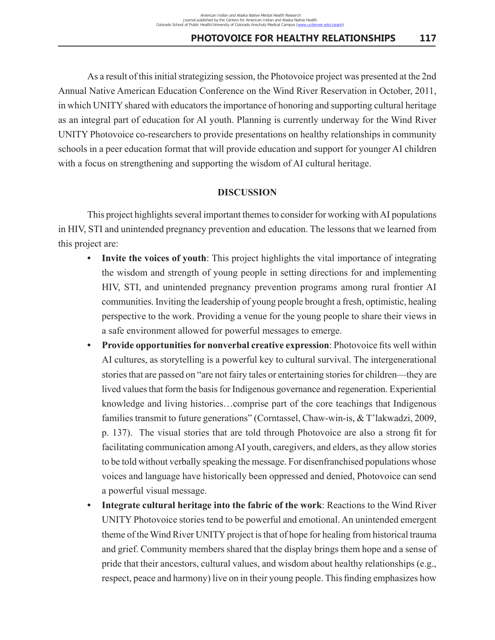As a result of this initial strategizing session, the Photovoice project was presented at the 2nd Annual Native American Education Conference on the Wind River Reservation in October, 2011, in which UNITY shared with educators the importance of honoring and supporting cultural heritage as an integral part of education for AI youth. Planning is currently underway for the Wind River UNITY Photovoice co-researchers to provide presentations on healthy relationships in community schools in a peer education format that will provide education and support for younger AI children with a focus on strengthening and supporting the wisdom of AI cultural heritage.

### **DISCUSSION**

This project highlights several important themes to consider for working with AI populations in HIV, STI and unintended pregnancy prevention and education. The lessons that we learned from this project are:

- **Invite the voices of youth**: This project highlights the vital importance of integrating the wisdom and strength of young people in setting directions for and implementing HIV, STI, and unintended pregnancy prevention programs among rural frontier AI communities. Inviting the leadership of young people brought a fresh, optimistic, healing perspective to the work. Providing a venue for the young people to share their views in a safe environment allowed for powerful messages to emerge.
- **• Provide opportunities for nonverbal creative expression**: Photovoice fits well within AI cultures, as storytelling is a powerful key to cultural survival. The intergenerational stories that are passed on "are not fairy tales or entertaining stories for children—they are lived values that form the basis for Indigenous governance and regeneration. Experiential knowledge and living histories…comprise part of the core teachings that Indigenous families transmit to future generations" (Corntassel, Chaw-win-is, & T'lakwadzi, 2009, p. 137). The visual stories that are told through Photovoice are also a strong fit for facilitating communication among AI youth, caregivers, and elders, as they allow stories to be told without verbally speaking the message. For disenfranchised populations whose voices and language have historically been oppressed and denied, Photovoice can send a powerful visual message.
- **• Integrate cultural heritage into the fabric of the work**: Reactions to the Wind River UNITY Photovoice stories tend to be powerful and emotional. An unintended emergent theme of the Wind River UNITY project is that of hope for healing from historical trauma and grief. Community members shared that the display brings them hope and a sense of pride that their ancestors, cultural values, and wisdom about healthy relationships (e.g., respect, peace and harmony) live on in their young people. This finding emphasizes how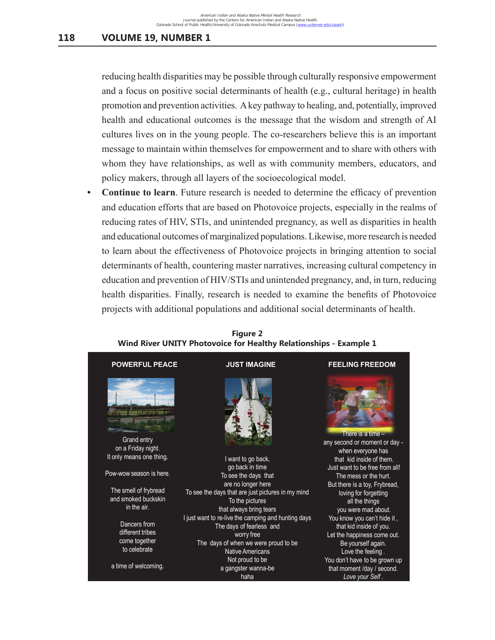reducing health disparities may be possible through culturally responsive empowerment and a focus on positive social determinants of health (e.g., cultural heritage) in health promotion and prevention activities. A key pathway to healing, and, potentially, improved health and educational outcomes is the message that the wisdom and strength of AI cultures lives on in the young people. The co-researchers believe this is an important message to maintain within themselves for empowerment and to share with others with whom they have relationships, as well as with community members, educators, and policy makers, through all layers of the socioecological model.

**• Continue to learn**. Future research is needed to determine the efficacy of prevention and education efforts that are based on Photovoice projects, especially in the realms of reducing rates of HIV, STIs, and unintended pregnancy, as well as disparities in health and educational outcomes of marginalized populations. Likewise, more research is needed to learn about the effectiveness of Photovoice projects in bringing attention to social determinants of health, countering master narratives, increasing cultural competency in education and prevention of HIV/STIs and unintended pregnancy, and, in turn, reducing health disparities. Finally, research is needed to examine the benefits of Photovoice projects with additional populations and additional social determinants of health. Reator and Fremont County, research to helded to examine the behems of Frotovoice



**Figure 2 Wind River UNITY Photovoice for Healthy Relationships - Example 1**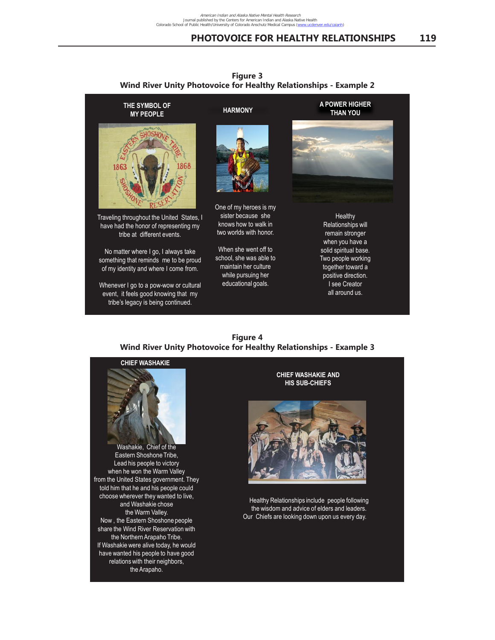Running head: PHOTOVOICE FOR HEALTHY RELATIONSHIPS 14



**Figure 3 Wind River Unity Photovoice for Healthy Relationships - Example 2**  $\frac{1}{2}$  Figure 3

#### **Figure 4 Wind River Unity Photovoice for Healthy Relationships - Example 3** *Figure 3.* Wind River UNITY Photovoice for Healthy Relationships. *Figure 3.* Wind River UNITY Photovoice for Healthy Relationships.



Eastern Shoshone Tribe, Lead his people to victory when he won the Warm Valley from the United States government. They told him that he and his people could choose wherever they wanted to live, choose wanted to live and Washakie chose the Warm Valley. Now , the Eastern Shoshone people share the Wind River Reservation with the Northern Arapaho Tribe. If Washakie were alive today, he would have wanted his people to have good relations with their neighbors, the Arapaho. Washakie, Chief of the

the Arapaho.

**HIS SUB-CHIEFS CHIEF WASHAKIE AND**



the wisdom and advice of elders and leaders. Our Chiefs are looking down upon us every day. Healthy Relationships include people following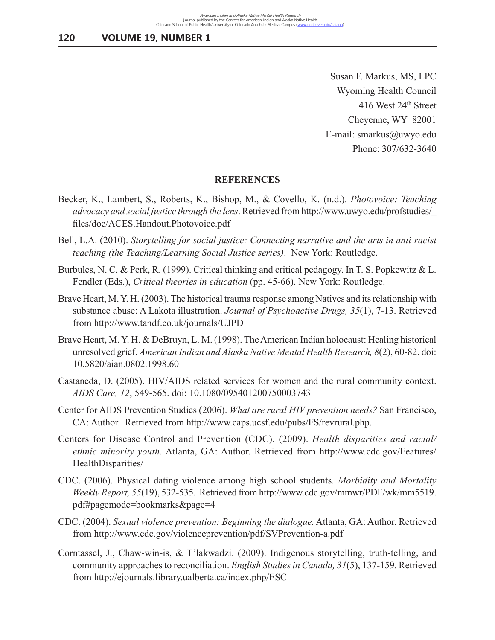Susan F. Markus, MS, LPC Wyoming Health Council 416 West 24th Street Cheyenne, WY 82001 E-mail: smarkus@uwyo.edu Phone: 307/632-3640

#### **REFERENCES**

- Becker, K., Lambert, S., Roberts, K., Bishop, M., & Covello, K. (n.d.). *Photovoice: Teaching advocacy and social justice through the lens*. Retrieved from http://www.uwyo.edu/profstudies/\_ files/doc/ACES.Handout.Photovoice.pdf
- Bell, L.A. (2010). *Storytelling for social justice: Connecting narrative and the arts in anti-racist teaching (the Teaching/Learning Social Justice series)*. New York: Routledge.
- Burbules, N. C. & Perk, R. (1999). Critical thinking and critical pedagogy. In T. S. Popkewitz & L. Fendler (Eds.), *Critical theories in education* (pp. 45-66). New York: Routledge.
- Brave Heart, M. Y. H. (2003). The historical trauma response among Natives and its relationship with substance abuse: A Lakota illustration. *Journal of Psychoactive Drugs, 35*(1), 7-13. Retrieved from http://www.tandf.co.uk/journals/UJPD
- Brave Heart, M. Y. H. & DeBruyn, L. M. (1998). The American Indian holocaust: Healing historical unresolved grief. *American Indian and Alaska Native Mental Health Research, 8*(2), 60-82. doi: 10.5820/aian.0802.1998.60
- Castaneda, D. (2005). HIV/AIDS related services for women and the rural community context. *AIDS Care, 12*, 549-565. doi: 10.1080/095401200750003743
- Center for AIDS Prevention Studies (2006). *What are rural HIV prevention needs?* San Francisco, CA: Author. Retrieved from http://www.caps.ucsf.edu/pubs/FS/revrural.php.
- Centers for Disease Control and Prevention (CDC). (2009). *Health disparities and racial/ ethnic minority youth*. Atlanta, GA: Author. Retrieved from http://www.cdc.gov/Features/ HealthDisparities/
- CDC. (2006). Physical dating violence among high school students. *Morbidity and Mortality Weekly Report, 55*(19), 532-535. Retrieved from http://www.cdc.gov/mmwr/PDF/wk/mm5519. pdf#pagemode=bookmarks&page=4
- CDC. (2004). *Sexual violence prevention: Beginning the dialogue.* Atlanta, GA: Author. Retrieved from http://www.cdc.gov/violenceprevention/pdf/SVPrevention-a.pdf
- Corntassel, J., Chaw-win-is, & T'lakwadzi. (2009). Indigenous storytelling, truth-telling, and community approaches to reconciliation. *English Studies in Canada, 31*(5), 137-159. Retrieved from http://ejournals.library.ualberta.ca/index.php/ESC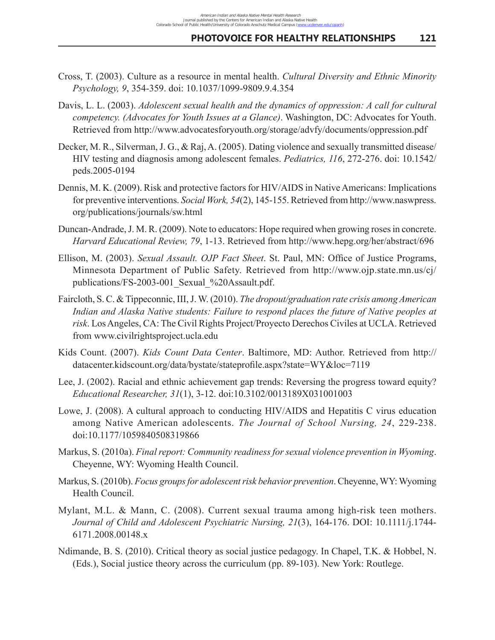- Cross, T. (2003). Culture as a resource in mental health. *Cultural Diversity and Ethnic Minority Psychology, 9*, 354-359. doi: 10.1037/1099-9809.9.4.354
- Davis, L. L. (2003). *Adolescent sexual health and the dynamics of oppression: A call for cultural competency. (Advocates for Youth Issues at a Glance)*. Washington, DC: Advocates for Youth. Retrieved from http://www.advocatesforyouth.org/storage/advfy/documents/oppression.pdf
- Decker, M. R., Silverman, J. G., & Raj, A. (2005). Dating violence and sexually transmitted disease/ HIV testing and diagnosis among adolescent females. *Pediatrics, 116*, 272-276. doi: 10.1542/ peds.2005-0194
- Dennis, M. K. (2009). Risk and protective factors for HIV/AIDS in Native Americans: Implications for preventive interventions. *Social Work, 54*(2), 145-155. Retrieved from http://www.naswpress. org/publications/journals/sw.html
- Duncan-Andrade, J. M. R. (2009). Note to educators: Hope required when growing roses in concrete. *Harvard Educational Review, 79*, 1-13. Retrieved from http://www.hepg.org/her/abstract/696
- Ellison, M. (2003). *Sexual Assault. OJP Fact Sheet*. St. Paul, MN: Office of Justice Programs, Minnesota Department of Public Safety. Retrieved from http://www.ojp.state.mn.us/cj/ publications/FS-2003-001\_Sexual\_%20Assault.pdf.
- Faircloth, S. C. & Tippeconnic, III, J. W. (2010). *The dropout/graduation rate crisis among American*  Indian and Alaska Native students: Failure to respond places the future of Native peoples at *risk*. Los Angeles, CA: The Civil Rights Project/Proyecto Derechos Civiles at UCLA. Retrieved from www.civilrightsproject.ucla.edu
- Kids Count. (2007). *Kids Count Data Center*. Baltimore, MD: Author. Retrieved from http:// datacenter.kidscount.org/data/bystate/stateprofile.aspx?state=WY&loc=7119
- Lee, J. (2002). Racial and ethnic achievement gap trends: Reversing the progress toward equity? *Educational Researcher, 31*(1), 3-12. doi:10.3102/0013189X031001003
- Lowe, J. (2008). A cultural approach to conducting HIV/AIDS and Hepatitis C virus education among Native American adolescents. *The Journal of School Nursing, 24*, 229-238. doi:10.1177/1059840508319866
- Markus, S. (2010a). *Final report: Community readiness for sexual violence prevention in Wyoming*. Cheyenne, WY: Wyoming Health Council.
- Markus, S. (2010b). *Focus groups for adolescent risk behavior prevention*. Cheyenne, WY: Wyoming Health Council.
- Mylant, M.L. & Mann, C. (2008). Current sexual trauma among high-risk teen mothers. *Journal of Child and Adolescent Psychiatric Nursing, 21*(3), 164-176. DOI: 10.1111/j.1744- 6171.2008.00148.x
- Ndimande, B. S. (2010). Critical theory as social justice pedagogy. In Chapel, T.K. & Hobbel, N. (Eds.), Social justice theory across the curriculum (pp. 89-103). New York: Routlege.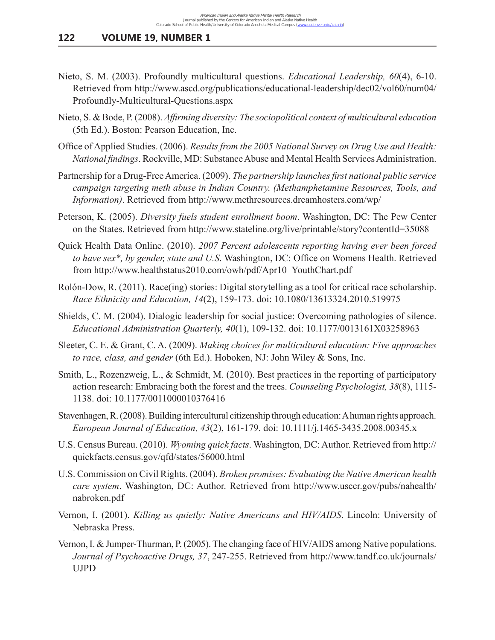- Nieto, S. M. (2003). Profoundly multicultural questions. *Educational Leadership, 60*(4), 6-10. Retrieved from http://www.ascd.org/publications/educational-leadership/dec02/vol60/num04/ Profoundly-Multicultural-Questions.aspx
- Nieto, S. & Bode, P. (2008). *Affirming diversity: The sociopolitical context of multicultural education* (5th Ed.). Boston: Pearson Education, Inc.
- Office of Applied Studies. (2006). *Results from the 2005 National Survey on Drug Use and Health: National findings*. Rockville, MD: Substance Abuse and Mental Health Services Administration.
- Partnership for a Drug-Free America. (2009). *The partnership launches first national public service campaign targeting meth abuse in Indian Country. (Methamphetamine Resources, Tools, and Information)*. Retrieved from http://www.methresources.dreamhosters.com/wp/
- Peterson, K. (2005). *Diversity fuels student enrollment boom*. Washington, DC: The Pew Center on the States. Retrieved from http://www.stateline.org/live/printable/story?contentId=35088
- Quick Health Data Online. (2010). *2007 Percent adolescents reporting having ever been forced to have sex\*, by gender, state and U.S*. Washington, DC: Office on Womens Health. Retrieved from http://www.healthstatus2010.com/owh/pdf/Apr10\_YouthChart.pdf
- Rolón-Dow, R. (2011). Race(ing) stories: Digital storytelling as a tool for critical race scholarship. *Race Ethnicity and Education, 14*(2), 159-173. doi: 10.1080/13613324.2010.519975
- Shields, C. M. (2004). Dialogic leadership for social justice: Overcoming pathologies of silence. *Educational Administration Quarterly, 40*(1), 109-132. doi: 10.1177/0013161X03258963
- Sleeter, C. E. & Grant, C. A. (2009). *Making choices for multicultural education: Five approaches to race, class, and gender* (6th Ed.). Hoboken, NJ: John Wiley & Sons, Inc.
- Smith, L., Rozenzweig, L., & Schmidt, M. (2010). Best practices in the reporting of participatory action research: Embracing both the forest and the trees. *Counseling Psychologist, 38*(8), 1115- 1138. doi: 10.1177/0011000010376416
- Stavenhagen, R. (2008). Building intercultural citizenship through education: A human rights approach. *European Journal of Education, 43*(2), 161-179. doi: 10.1111/j.1465-3435.2008.00345.x
- U.S. Census Bureau. (2010). *Wyoming quick facts*. Washington, DC: Author. Retrieved from http:// quickfacts.census.gov/qfd/states/56000.html
- U.S. Commission on Civil Rights. (2004). *Broken promises: Evaluating the Native American health care system*. Washington, DC: Author. Retrieved from http://www.usccr.gov/pubs/nahealth/ nabroken.pdf
- Vernon, I. (2001). *Killing us quietly: Native Americans and HIV/AIDS*. Lincoln: University of Nebraska Press.
- Vernon, I. & Jumper-Thurman, P. (2005). The changing face of HIV/AIDS among Native populations. *Journal of Psychoactive Drugs, 37*, 247-255. Retrieved from http://www.tandf.co.uk/journals/ UJPD